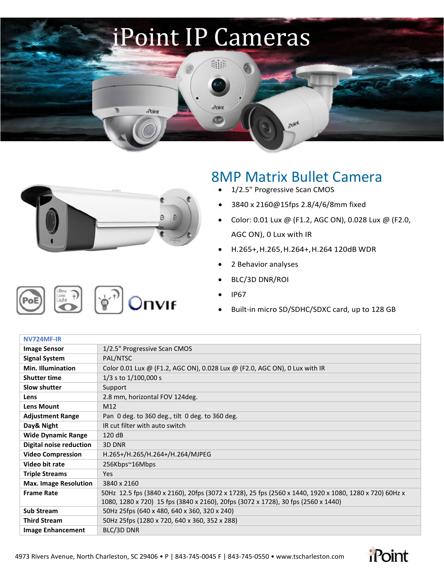## iPoint IP Cameras

ana

iPoint

O



**iPoint** 

## 8MP Matrix Bullet Camera

**Roky** 

- 1/2.5" Progressive Scan CMOS
- 3840 x 2160@15fps 2.8/4/6/8mm fixed
- Color: 0.01 Lux @ (F1.2, AGC ON), 0.028 Lux @ (F2.0, AGC ON), 0 Lux with IR
- H.265+,H.265,H.264+,H.264 120dB WDR
- 2 Behavior analyses
- BLC/3D DNR/ROI
- IP67
- Built-in micro SD/SDHC/SDXC card, up to 128 GB

| NV724MF-IR                   |                                                                                                        |
|------------------------------|--------------------------------------------------------------------------------------------------------|
| <b>Image Sensor</b>          | 1/2.5" Progressive Scan CMOS                                                                           |
| <b>Signal System</b>         | PAL/NTSC                                                                                               |
| <b>Min. Illumination</b>     | Color 0.01 Lux @ (F1.2, AGC ON), 0.028 Lux @ (F2.0, AGC ON), 0 Lux with IR                             |
| <b>Shutter time</b>          | 1/3 s to 1/100,000 s                                                                                   |
| <b>Slow shutter</b>          | Support                                                                                                |
| Lens                         | 2.8 mm, horizontal FOV 124deg.                                                                         |
| <b>Lens Mount</b>            | M12                                                                                                    |
| <b>Adjustment Range</b>      | Pan 0 deg. to 360 deg., tilt 0 deg. to 360 deg.                                                        |
| Day& Night                   | IR cut filter with auto switch                                                                         |
| <b>Wide Dynamic Range</b>    | 120 dB                                                                                                 |
| Digital noise reduction      | 3D DNR                                                                                                 |
| <b>Video Compression</b>     | H.265+/H.265/H.264+/H.264/MJPEG                                                                        |
| Video bit rate               | 256Kbps~16Mbps                                                                                         |
| <b>Triple Streams</b>        | Yes                                                                                                    |
| <b>Max. Image Resolution</b> | 3840 x 2160                                                                                            |
| <b>Frame Rate</b>            | 50Hz 12.5 fps (3840 x 2160), 20fps (3072 x 1728), 25 fps (2560 x 1440, 1920 x 1080, 1280 x 720) 60Hz x |
|                              | 1080, 1280 x 720) 15 fps (3840 x 2160), 20fps (3072 x 1728), 30 fps (2560 x 1440)                      |
| <b>Sub Stream</b>            | 50Hz 25fps (640 x 480, 640 x 360, 320 x 240)                                                           |
| <b>Third Stream</b>          | 50Hz 25fps (1280 x 720, 640 x 360, 352 x 288)                                                          |
| <b>Image Enhancement</b>     | BLC/3D DNR                                                                                             |